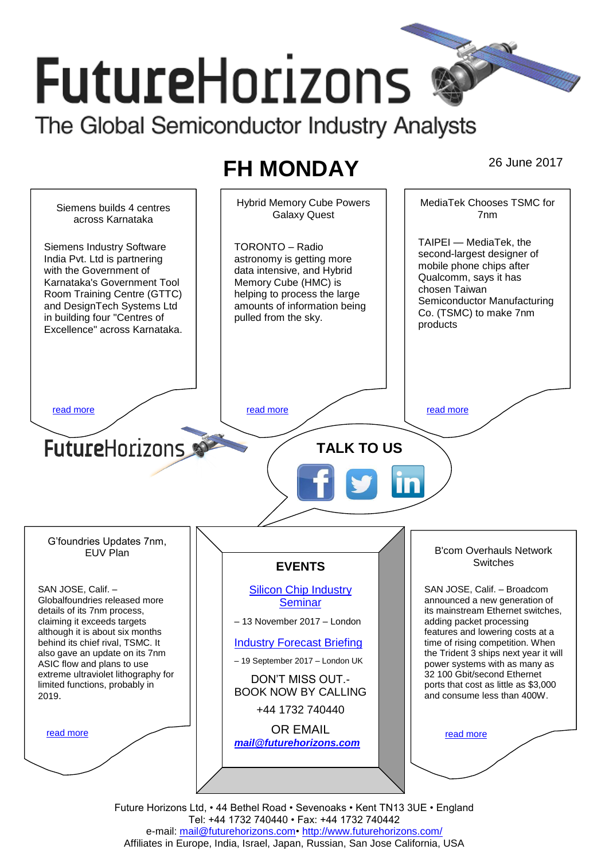# **FutureHorizons** The Global Semiconductor Industry Analysts

# **FH MONDAY** 26 June 2017



Future Horizons Ltd, • 44 Bethel Road • Sevenoaks • Kent TN13 3UE • England Tel: +44 1732 740440 • Fax: +44 1732 740442 e-mail: mail@futurehorizons.com• http://www.futurehorizons.com/ Affiliates in Europe, India, Israel, Japan, Russian, San Jose California, USA